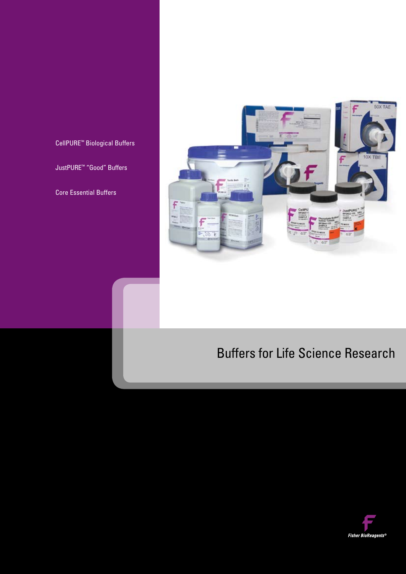CellPURE™ Biological Buffers

JustPURE™ "Good" Buffers

Core Essential Buffers



# Buffers for Life Science Research

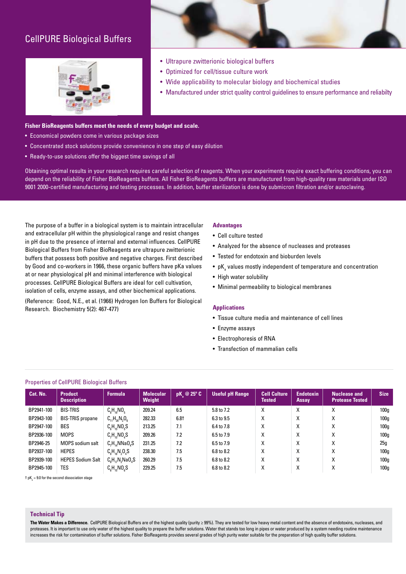# CellPURE Biological Buffers





- Ultrapure zwitterionic biological buffers
- Optimized for cell/tissue culture work
- Wide applicability to molecular biology and biochemical studies
- Manufactured under strict quality control guidelines to ensure performance and reliabilty

#### **Fisher BioReagents buffers meet the needs of every budget and scale.**

- Economical powders come in various package sizes
- Concentrated stock solutions provide convenience in one step of easy dilution
- Ready-to-use solutions offer the biggest time savings of all

Obtaining optimal results in your research requires careful selection of reagents. When your experiments require exact buffering conditions, you can depend on the reliability of Fisher BioReagents buffers. All Fisher BioReagents buffers are manufactured from high-quality raw materials under ISO 9001 2000-certified manufacturing and testing processes. In addition, buffer sterilization is done by submicron filtration and/or autoclaving.

The purpose of a buffer in a biological system is to maintain intracellular and extracellular pH within the physiological range and resist changes in pH due to the presence of internal and external influences. CellPURE Biological Buffers from Fisher BioReagents are ultrapure zwitterionic buffers that possess both positive and negative charges. First described by Good and co-workers in 1966, these organic buffers have pKa values at or near physiological pH and minimal interference with biological processes. CellPURE Biological Buffers are ideal for cell cultivation, isolation of cells, enzyme assays, and other biochemical applications.

(Reference: Good, N.E., et al. (1966) Hydrogen Ion Buffers for Biological Research. Biochemistry 5(2): 467-477)

#### **Advantages**

- Cell culture tested
- Analyzed for the absence of nucleases and proteases
- Tested for endotoxin and bioburden levels
- $\bullet\,$  pK $_{\rm a}$  values mostly independent of temperature and concentration
- High water solubility
- Minimal permeability to biological membranes

#### **Applications**

- Tissue culture media and maintenance of cell lines
- Enzyme assays
- Electrophoresis of RNA
- Transfection of mammalian cells

#### Properties of CellPURE Biological Buffers

| Cat. No.   | <b>Product</b><br><b>Description</b> | <b>Formula</b>                   | <b>Molecular</b><br>Weight | $pK \otimes 25^{\circ} C$ | <b>Useful pH Range</b> | <b>Cell Culture</b><br><b>Tested</b> | <b>Endotoxin</b><br>Assay | <b>Nuclease and</b><br><b>Protease Tested</b> | <b>Size</b>      |
|------------|--------------------------------------|----------------------------------|----------------------------|---------------------------|------------------------|--------------------------------------|---------------------------|-----------------------------------------------|------------------|
| BP2941-100 | <b>BIS-TRIS</b>                      | $C_8H_{19}NO_5$                  | 209.24                     | 6.5                       | 5.8 to 7.2             | X                                    | X                         |                                               | 100 <sub>g</sub> |
| BP2943-100 | <b>BIS-TRIS</b> propane              | $C_{11}H_{26}N_{2}O_{6}$         | 282.33                     | $6.8+$                    | 6.3 to 9.5             | Χ                                    | X                         | X                                             | 100 <sub>g</sub> |
| BP2947-100 | <b>BES</b>                           | $C_{\rm g}H_{\rm ng}N0_{\rm g}S$ | 213.25                     | 7.1                       | 6.4 to 7.8             | X                                    | X                         | ⋏                                             | 100 <sub>g</sub> |
| BP2936-100 | <b>MOPS</b>                          | $C_2H_{16}NO_4S$                 | 209.26                     | 7.2                       | 6.5 to 7.9             | X                                    | X                         | Χ                                             | 100 <sub>g</sub> |
| BP2946-25  | <b>MOPS</b> sodium salt              | $C_1H_1$ , NNa $O_2S$            | 231.25                     | 7.2                       | 6.5 to 7.9             | X                                    | X                         | X                                             | 25q              |
| BP2937-100 | <b>HEPES</b>                         | $C_{8}H_{18}N_{2}O_{4}S$         | 238.30                     | 7.5                       | 6.8 to 8.2             | Χ                                    | X                         | Χ                                             | 100 <sub>g</sub> |
| BP2939-100 | <b>HEPES Sodium Salt</b>             | $C_{8}H_{17}N_{2}NaO_{4}S$       | 260.29                     | 7.5                       | 6.8 to 8.2             | X                                    | x                         | X                                             | 100 <sub>g</sub> |
| BP2945-100 | TES                                  | $C_{e}H_{ee}NO_{e}S$             | 229.25                     | 7.5                       | 6.8 to 8.2             | Χ                                    | X                         | ⋏                                             | 100 <sub>q</sub> |

† p $\mathsf{K}_\mathtt{a}$  = 9.0 for the second dissociation stage

#### **Technical Tip**

The Water Makes a Difference. CellPURE Biological Buffers are of the highest quality (purity ≥ 99%). They are tested for low heavy metal content and the absence of endotoxins, nucleases, and proteases. It is important to use only water of the highest quality to prepare the buffer solutions. Water that stands too long in pipes or water produced by a system needing routine maintenance increases the risk for contamination of buffer solutions. Fisher BioReagents provides several grades of high purity water suitable for the preparation of high quality buffer solutions.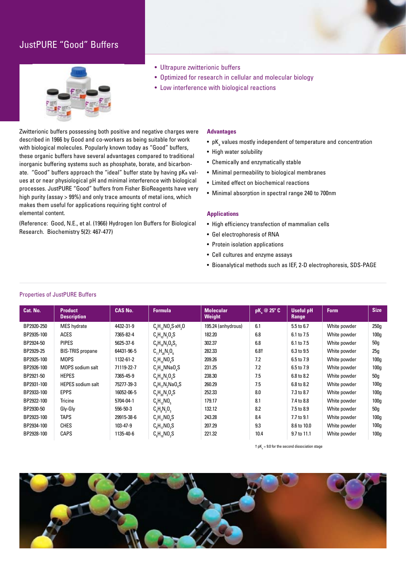# JustPURE "Good" Buffers





- Optimized for research in cellular and molecular biology
- Low interference with biological reactions

Zwitterionic buffers possessing both positive and negative charges were described in 1966 by Good and co-workers as being suitable for work with biological molecules. Popularly known today as "Good" buffers, these organic buffers have several advantages compared to traditional inorganic buffering systems such as phosphate, borate, and bicarbonate. "Good" buffers approach the "ideal" buffer state by having pKa values at or near physiological pH and minimal interference with biological processes. JustPURE "Good" buffers from Fisher BioReagents have very high purity (assay > 99%) and only trace amounts of metal ions, which makes them useful for applications requiring tight control of elemental content.

(Reference: Good, N.E., et al. (1966) Hydrogen Ion Buffers for Biological Research. Biochemistry 5(2): 467-477)

#### **Advantages**

- $\bullet \,$  pK $_{\rm a}$  values mostly independent of temperature and concentration
- High water solubility
- Chemically and enzymatically stable
- Minimal permeability to biological membranes
- Limited effect on biochemical reactions
- Minimal absorption in spectral range 240 to 700nm

#### **Applications**

- High efficiency transfection of mammalian cells
- Gel electrophoresis of RNA
- Protein isolation applications
- Cell cultures and enzyme assays
- Bioanalytical methods such as IEF, 2-D electrophoresis, SDS-PAGE

| Cat. No.   | <b>Product</b><br><b>Description</b> | <b>CAS No.</b> | <b>Formula</b>                                                                                            | <b>Molecular</b><br>Weight | $pK_{\sim}$ @ 25° C | <b>Useful pH</b><br><b>Range</b> | <b>Form</b>  | <b>Size</b>      |
|------------|--------------------------------------|----------------|-----------------------------------------------------------------------------------------------------------|----------------------------|---------------------|----------------------------------|--------------|------------------|
| BP2920-250 | <b>MES</b> hydrate                   | 4432-31-9      | $C_{\scriptscriptstyle R}H_{\scriptscriptstyle 12}NO_{\scriptscriptstyle A}S_1xH_{\scriptscriptstyle 2}O$ | 195.24 (anhydrous)         | 6.1                 | 5.5 to 6.7                       | White powder | 250g             |
| BP2935-100 | <b>ACES</b>                          | 7365-82-4      | $C_4H_{10}N_2O_4S$                                                                                        | 182.20                     | 6.8                 | 6.1 to 7.5                       | White powder | 100 <sub>g</sub> |
| BP2924-50  | <b>PIPES</b>                         | 5625-37-6      | $C_8H_{18}N_2O_6S_2$                                                                                      | 302.37                     | 6.8                 | 6.1 to 7.5                       | White powder | 50g              |
| BP2929-25  | <b>BIS-TRIS propane</b>              | 64431-96-5     | $C_{11}H_{26}N_{2}O_{6}$                                                                                  | 282.33                     | $6.8+$              | 6.3 to 9.5                       | White powder | 25g              |
| BP2925-100 | <b>MOPS</b>                          | 1132-61-2      | $C_2H_{16}NO_4S$                                                                                          | 209.26                     | 7.2                 | 6.5 to 7.9                       | White powder | 100 <sub>g</sub> |
| BP2926-100 | <b>MOPS</b> sodium salt              | 71119-22-7     | C, H, NNAO, S                                                                                             | 231.25                     | 7.2                 | 6.5 to 7.9                       | White powder | 100 <sub>g</sub> |
| BP2921-50  | <b>HEPES</b>                         | 7365-45-9      | $C_sH_{1s}N_2O_4S$                                                                                        | 238.30                     | 7.5                 | 6.8 to 8.2                       | White powder | 50g              |
| BP2931-100 | <b>HEPES</b> sodium salt             | 75277-39-3     | $C_sH_{17}N_2NaO_4S$                                                                                      | 260.29                     | 7.5                 | 6.8 to 8.2                       | White powder | 100 <sub>g</sub> |
| BP2933-100 | <b>EPPS</b>                          | 16052-06-5     | $C_qH_{20}N_2O_4S$                                                                                        | 252.33                     | 8.0                 | 7.3 to 8.7                       | White powder | 100 <sub>g</sub> |
| BP2922-100 | Tricine                              | 5704-04-1      | $C_{6}H_{13}NO_{5}$                                                                                       | 179.17                     | 8.1                 | 7.4 to 8.8                       | White powder | 100 <sub>g</sub> |
| BP2930-50  | Gly-Gly                              | 556-50-3       | $C_4H_8N_2O_3$                                                                                            | 132.12                     | 8.2                 | 7.5 to 8.9                       | White powder | 50g              |
| BP2923-100 | <b>TAPS</b>                          | 29915-38-6     | $C_2H_{12}NO_6S$                                                                                          | 243.28                     | 8.4                 | 7.7 to 9.1                       | White powder | 100 <sub>g</sub> |
| BP2934-100 | <b>CHES</b>                          | 103-47-9       | $C_8H_{17}NO_3S$                                                                                          | 207.29                     | 9.3                 | 8.6 to 10.0                      | White powder | 100 <sub>g</sub> |
| BP2928-100 | <b>CAPS</b>                          | 1135-40-6      | $C_qH_{1q}NO_3S$                                                                                          | 221.32                     | 10.4                | 9.7 to 11.1                      | White powder | 100 <sub>g</sub> |
|            |                                      |                |                                                                                                           |                            |                     |                                  |              |                  |

 $\dagger$  pK $_{\rm a}$  = 9.0 for the second dissociation stage



#### Properties of JustPURE Buffers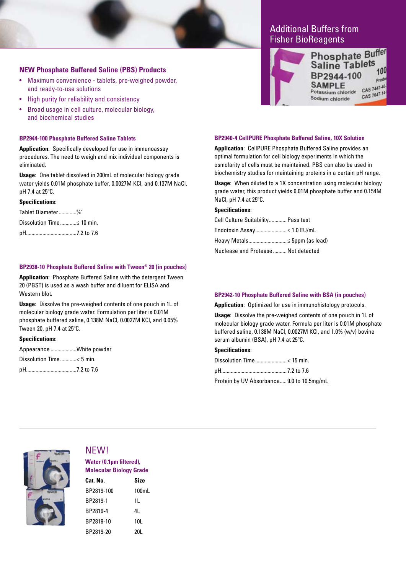### **NEW Phosphate Buffered Saline (PBS) Products**

- Maximum convenience tablets, pre-weighed powder, and ready-to-use solutions
- High purity for reliability and consistency
- Broad usage in cell culture, molecular biology, and biochemical studies

#### **BP2944-100 Phosphate Buffered Saline Tablets**

**Application**: Specifically developed for use in immunoassay procedures. The need to weigh and mix individual components is eliminated.

**Usage**: One tablet dissolved in 200mL of molecular biology grade water yields 0.01M phosphate buffer, 0.0027M KCl, and 0.137M NaCl, pH 7.4 at 25ºC.

#### **Specifications**:

Tablet Diameter.............5 ⁄8" Dissolution Time..............< 10 min. pH.....................................7.2 to 7.6

#### **BP2938-10 Phosphate Buffered Saline with Tween® 20 (in pouches)**

**Application**: Phosphate Buffered Saline with the detergent Tween 20 (PBST) is used as a wash buffer and diluent for ELISA and Western blot.

**Usage**: Dissolve the pre-weighed contents of one pouch in 1L of molecular biology grade water. Formulation per liter is 0.01M phosphate buffered saline, 0.138M NaCl, 0.0027M KCl, and 0.05% Tween 20, pH 7.4 at 25ºC.

#### **Specifications**:

Appearance ...................White powder Dissolution Time............< 5 min. pH.....................................7.2 to 7.6

# Additional Buffers from Fisher BioReagents



#### **BP2940-4 CellPURE Phosphate Buffered Saline, 10X Solution**

**Application**: CellPURE Phosphate Buffered Saline provides an optimal formulation for cell biology experiments in which the osmolarity of cells must be maintained. PBS can also be used in biochemistry studies for maintaining proteins in a certain pH range.

**Usage**: When diluted to a 1X concentration using molecular biology grade water, this product yields 0.01M phosphate buffer and 0.154M NaCl, pH 7.4 at 25ºC.

#### **Specifications**:

| Cell Culture Suitability Pass test  |  |
|-------------------------------------|--|
| Endotoxin Assay ≤ 1.0 EU/mL         |  |
| Heavy Metals ≤ 5ppm (as lead)       |  |
| Nuclease and Protease  Not detected |  |

#### **BP2942-10 Phosphate Buffered Saline with BSA (in pouches)**

**Application**: Optimized for use in immunohistology protocols.

**Usage**: Dissolve the pre-weighed contents of one pouch in 1L of molecular biology grade water. Formula per liter is 0.01M phosphate buffered saline, 0.138M NaCl, 0.0027M KCl, and 1.0% (w/v) bovine serum albumin (BSA), pH 7.4 at 25ºC.

#### **Specifications**:

Protein by UV Absorbance..... 9.0 to 10.5mg/mL



# NEW!

**Water (0.1µm filtered), Molecular Biology Grade**

| Cat. No.   | <b>Size</b> |
|------------|-------------|
| BP2819-100 | 100mL       |
| BP2819-1   | 11          |
| BP2819-4   | 41          |
| BP2819-10  | 10L         |
| BP2819-20  | 20L         |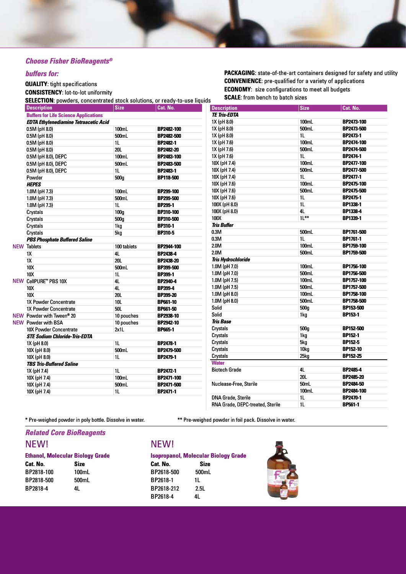### *Choose Fisher BioReagents®*

### *buffers for:*

### **QUALITY**: tight specifications

**CONSISTENCY**: lot-to-lot uniformity

**SELECTION**: powders, concentrated stock solutions, or ready-to-use liquids

| <b>PACKAGING:</b> state-of-the-art containers designed for safety and utility |  |  |  |  |
|-------------------------------------------------------------------------------|--|--|--|--|
| <b>CONVENIENCE:</b> pre-qualified for a variety of applications               |  |  |  |  |
| <b>ECONOMY:</b> size configurations to meet all budgets                       |  |  |  |  |
| <b>SCALE:</b> from bench to batch sizes                                       |  |  |  |  |

| <b>Description</b>                           | <b>Size</b>      | Cat. No.          | <b>Description</b>               | <b>Size</b>    | Cat. No.         |
|----------------------------------------------|------------------|-------------------|----------------------------------|----------------|------------------|
| <b>Buffers for Life Science Applications</b> |                  |                   | <b>TE Tris-EDTA</b>              |                |                  |
| <b>EDTA Ethylenediamine Tetraacetic Acid</b> |                  |                   | 1X (pH 8.0)                      | 100mL          | BP2473-100       |
| 0.5M (pH 8.0)                                | 100mL            | BP2482-100        | 1X (pH 8.0)                      | 500mL          | BP2473-500       |
| 0.5M (pH 8.0)                                | 500mL            | BP2482-500        | 1X (pH 8.0)                      | 1 <sub>L</sub> | <b>BP2473-1</b>  |
| $0.5M$ (pH $8.0$ )                           | 1 <sub>L</sub>   | <b>BP2482-1</b>   | 1X (pH 7.6)                      | 100mL          | BP2474-100       |
| $0.5M$ (pH $8.0$ )                           | <b>20L</b>       | <b>BP2482-20</b>  | 1X (pH 7.6)                      | 500mL          | BP2474-500       |
| 0.5M (pH 8.0), DEPC                          | 100mL            | BP2483-100        | 1X (pH 7.6)                      | 1 <sub>L</sub> | <b>BP2474-1</b>  |
| 0.5M (pH 8.0), DEPC                          | 500mL            | BP2483-500        | 10X (pH 7.4)                     | 100mL          | BP2477-100       |
| 0.5M (pH 8.0), DEPC                          | 1 <sub>L</sub>   | <b>BP2483-1</b>   | 10X (pH 7.4)                     | 500mL          | BP2477-500       |
| Powder                                       | 500g             | BP118-500         | 10X (pH 7.4)                     | 1L             | <b>BP2477-1</b>  |
| <b>HEPES</b>                                 |                  |                   | 10X (pH 7.6)                     | 100mL          | BP2475-100       |
| 1.0M (pH 7.3)                                | 100mL            | <b>BP299-100</b>  | 10X (pH 7.6)                     | 500mL          | BP2475-500       |
| 1.0M (pH 7.3)                                | 500mL            | <b>BP299-500</b>  | 10X (pH 7.6)                     | 11.            | <b>BP2475-1</b>  |
| 1.0M (pH 7.3)                                | 1 <sub>L</sub>   | <b>BP299-1</b>    | 100X (pH 8.0)                    | 1 <sub>L</sub> | BP1338-1         |
| Crystals                                     | 100 <sub>q</sub> | <b>BP310-100</b>  | 100X (pH 8.0)                    | 4L             | <b>BP1338-4</b>  |
| Crystals                                     | 500 <sub>g</sub> | BP310-500         | 100X                             | $11***$        | BP1339-1         |
| Crystals                                     | 1kg              | <b>BP310-1</b>    | <b>Tris Buffer</b>               |                |                  |
| Crystals                                     | 5kg              | <b>BP310-5</b>    | 0.3M                             | 500mL          | BP1761-500       |
| <b>PBS Phosphate Buffered Saline</b>         |                  |                   | 0.3M                             | 11.            | BP1761-1         |
| <b>NEW Tablets</b>                           | 100 tablets      | <b>BP2944-100</b> | 2.0M                             | 100mL          | BP1759-100       |
| 1X                                           | 4L               | <b>BP2438-4</b>   | 2.0M                             | 500mL          | BP1759-500       |
| 1X                                           | <b>20L</b>       | BP2438-20         | <b>Tris Hydrochloride</b>        |                |                  |
| 10X                                          | 500mL            | BP399-500         | 1.0M (pH 7.0)                    | 100mL          | BP1756-100       |
| <b>10X</b>                                   | 1 <sub>L</sub>   | <b>BP399-1</b>    | 1.0M (pH 7.0)                    | 500mL          | BP1756-500       |
| NEW CellPURE" PBS 10X                        | 4L               | BP2940-4          | 1.0M (pH 7.5)                    | 100mL          | BP1757-100       |
| 10X                                          | 4L               | <b>BP399-4</b>    | 1.0M (pH 7.5)                    | 500mL          | BP1757-500       |
| 10X                                          | <b>20L</b>       | <b>BP399-20</b>   | 1.0M (pH 8.0)                    | 100mL          | BP1758-100       |
| 1X Powder Concentrate                        | <b>10L</b>       | <b>BP661-10</b>   | 1.0M (pH 8.0)                    | 500mL          | BP1758-500       |
| 1X Powder Concentrate                        | <b>50L</b>       | <b>BP661-50</b>   | Solid                            | 500g           | BP153-500        |
| NEW Powder with Tween® 20                    | 10 pouches       | <b>BP2938-10</b>  | Solid                            | 1kg            | <b>BP153-1</b>   |
| <b>NEW Powder with BSA</b>                   | 10 pouches       | BP2942-10         | <b>Tris Base</b>                 |                |                  |
| 10X Powder Concentrate                       | 2x1L             | <b>BP665-1</b>    | Crystals                         | 500g           | <b>BP152-500</b> |
| <b>STE Sodium Chloride-Tris-EDTA</b>         |                  |                   | Crystals                         | 1kg            | <b>BP152-1</b>   |
| 1X (pH 8.0)                                  | 1 <sub>L</sub>   | <b>BP2478-1</b>   | Crystals                         | 5kg            | <b>BP152-5</b>   |
| 10X (pH 8.0)                                 | 500mL            | BP2479-500        | Crystals                         | 10kg           | <b>BP152-10</b>  |
| 10X (pH 8.0)                                 | 1 <sub>L</sub>   | <b>BP2479-1</b>   | Crystals                         | 25kq           | <b>BP152-25</b>  |
| <b>TBS Tris-Buffered Saline</b>              |                  |                   | <b>Water</b>                     |                |                  |
| 1X (pH 7.4)                                  | 1L               | <b>BP2472-1</b>   | <b>Biotech Grade</b>             | 4L             | <b>BP2485-4</b>  |
| 10X (pH 7.4)                                 | 100mL            | BP2471-100        |                                  | 20L            | <b>BP2485-20</b> |
| 10X (pH 7.4)                                 | 500mL            | BP2471-500        | Nuclease-Free, Sterile           | 50mL           | <b>BP2484-50</b> |
| 10X (pH 7.4)                                 | 1 <sub>L</sub>   | BP2471-1          |                                  | 100mL          | BP2484-100       |
|                                              |                  |                   | <b>DNA Grade, Sterile</b>        | 1L             | <b>BP2470-1</b>  |
|                                              |                  |                   | RNA Grade, DEPC-treated, Sterile | 11.            | <b>BP561-1</b>   |

\* Pre-weighed powder in poly bottle. Dissolve in water. \*\* Pre-weighed powder in foil pack. Dissolve in water.

# *Related Core BioReagents*

# NEW!

|          | <b>Ethanol, Molecular Biology Grade</b> |             |  |
|----------|-----------------------------------------|-------------|--|
| Cat. No. |                                         | <b>Size</b> |  |

| Cat. No.   | Size  |
|------------|-------|
| BP2818-100 | 100mL |
| BP2818-500 | 500mL |
| BP2818-4   | 41    |

# NEW!

### **Isopropanol, Molecular Biology Grade**

**Cat. No. Size** BP2618-500 500mL BP2618-1 1L BP2618-212 2.5L BP2618-4 4L